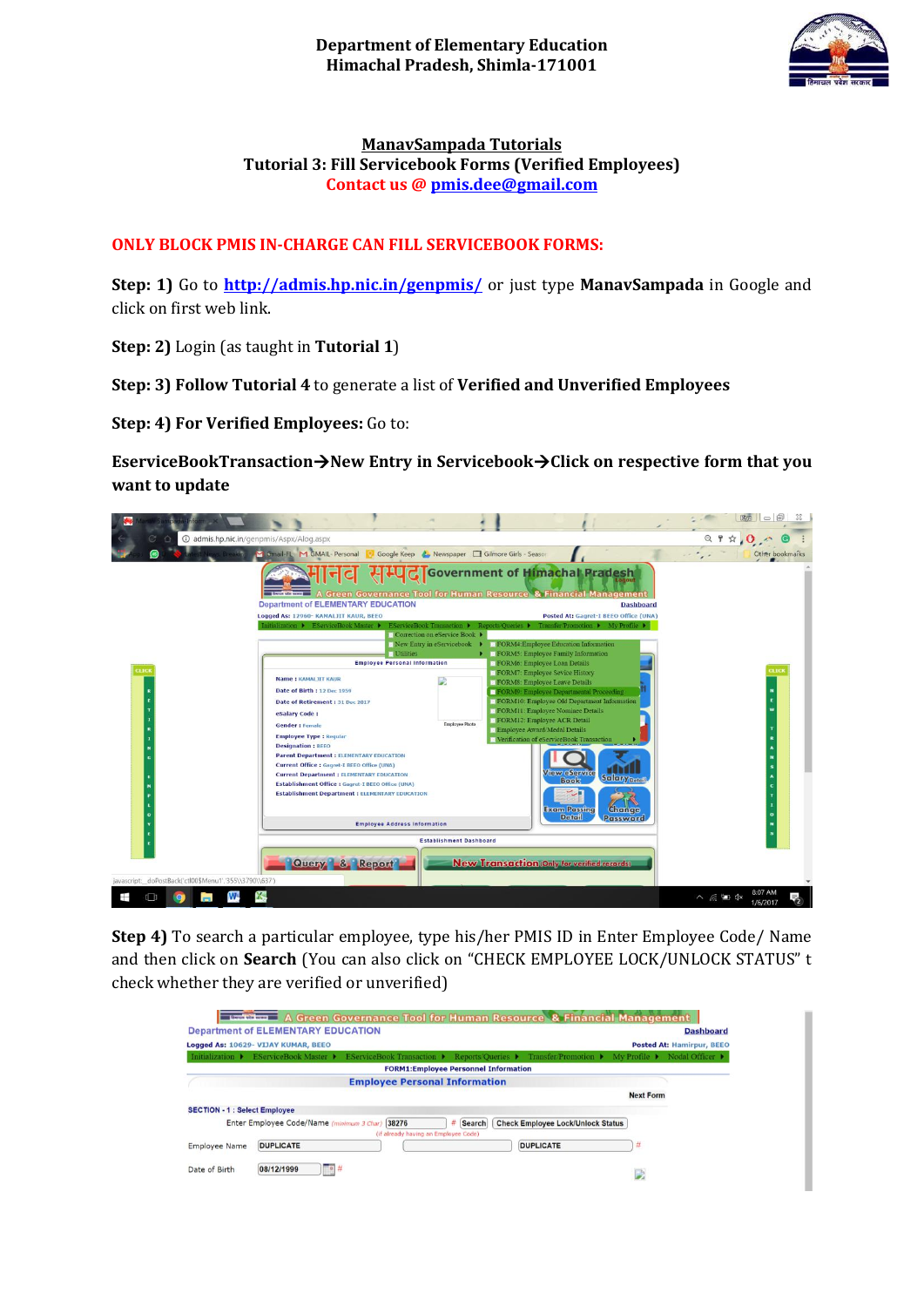

## **ManavSampada Tutorials Tutorial 3: Fill Servicebook Forms (Verified Employees) Contact us [@ pmis.dee@gmail.com](mailto:pmis.dee@gmail.com)**

## **ONLY BLOCK PMIS IN-CHARGE CAN FILL SERVICEBOOK FORMS:**

**Step: 1)** Go to **<http://admis.hp.nic.in/genpmis/>** or just type **ManavSampada** in Google and click on first web link.

**Step: 2)** Login (as taught in **Tutorial 1**)

**Step: 3) Follow Tutorial 4** to generate a list of **Verified and Unverified Employees**

**Step: 4) For Verified Employees:** Go to:

**EserviceBookTransaction→New Entry in Servicebook→Click on respective form that you want to update**

| @ admis.hp.nic.in/genpmis/Aspx/Alog.aspx                |                                                                                                                                                                                                                                                                                                                                                                                                                                                                                                                                                                                                                                                                                                                                                |                                                                                                                                                                                                                                                                                                                                                                                                                                                                                                                                                                                                     | Q P A Q A                                       |
|---------------------------------------------------------|------------------------------------------------------------------------------------------------------------------------------------------------------------------------------------------------------------------------------------------------------------------------------------------------------------------------------------------------------------------------------------------------------------------------------------------------------------------------------------------------------------------------------------------------------------------------------------------------------------------------------------------------------------------------------------------------------------------------------------------------|-----------------------------------------------------------------------------------------------------------------------------------------------------------------------------------------------------------------------------------------------------------------------------------------------------------------------------------------------------------------------------------------------------------------------------------------------------------------------------------------------------------------------------------------------------------------------------------------------------|-------------------------------------------------|
|                                                         | W. Bleaking M Gmail-FL M GMAIL- Personal<br>Google Keep & Newspaper Gilmore Girls - Season                                                                                                                                                                                                                                                                                                                                                                                                                                                                                                                                                                                                                                                     |                                                                                                                                                                                                                                                                                                                                                                                                                                                                                                                                                                                                     | Other bookmarks                                 |
|                                                         | <b>Department of ELEMENTARY EDUCATION</b>                                                                                                                                                                                                                                                                                                                                                                                                                                                                                                                                                                                                                                                                                                      | 국리 시니己 Government of Himachal Pradesh<br>A Green Governance Tool for Human Resource & Financial Management<br><b>Dashboard</b>                                                                                                                                                                                                                                                                                                                                                                                                                                                                      |                                                 |
|                                                         | Logged As: 12960- KAMALJIT KAUR, BEEO                                                                                                                                                                                                                                                                                                                                                                                                                                                                                                                                                                                                                                                                                                          | Posted At: Gagret-I BEEO Office (UNA)                                                                                                                                                                                                                                                                                                                                                                                                                                                                                                                                                               |                                                 |
| <b>CLICK</b>                                            | Initialization > EServiceBook Master ><br>EServiceBook Transaction ▶ Reports/Queries ▶<br>Correction on eService Book ><br>New Entry in eServicebook $\blacktriangleright$<br><b>D</b> Utilities<br><b>Employee Personal Information</b><br><b>Name: KAMALJIT KAUR</b><br>Date of Birth : 12 Dec 1959<br>Date of Retirement : 31 Dec 2017<br>eSalary Code:<br><b>Employee Photo</b><br><b>Gender: Female</b><br><b>Employee Type: Regular</b><br><b>Designation: BEEO</b><br><b>Parent Department : ELEMENTARY EDUCATION</b><br>Current Office : Gagret-I BEEO Office (UNA)<br><b>Current Department : ELEMENTARY EDUCATION</b><br>Establishment Office : Gagret-I BEEO Office (UNA)<br><b>Establishment Department : ELEMENTARY EDUCATION</b> | Transfer Promotion ▶ My Profile ▶<br>FORM4:Employee Education Information<br>FORM5: Employee Family Information<br>FORM6: Employee Loan Details<br>FORM7: Employee Sevice History<br>FORMS: Employee Leave Details<br>FORM9: Employee Departmental Proceeding<br>FORM10: Employee Old Department Information<br>FORM11: Employee Nominee Details<br>FORM12: Employee ACR Detail<br>Employee Award/Medal Details<br>Nerification of eServiceBook Transaction<br><b>View eService</b><br>Salary <sub>Datail</sub><br><b>Book</b><br><b>Exam Passing</b><br>Change<br><b>Detail</b><br><b>Password</b> | 81. ECI                                         |
|                                                         | <b>Employee Address Information</b>                                                                                                                                                                                                                                                                                                                                                                                                                                                                                                                                                                                                                                                                                                            |                                                                                                                                                                                                                                                                                                                                                                                                                                                                                                                                                                                                     |                                                 |
| javascript: doPostBack('ctl00\$Menu1','355\\3790\\637') | <b>Establishment Dashboard</b><br>Query & Report                                                                                                                                                                                                                                                                                                                                                                                                                                                                                                                                                                                                                                                                                               | New Transaction only for verified records).                                                                                                                                                                                                                                                                                                                                                                                                                                                                                                                                                         |                                                 |
| <b>W</b><br>X<br>m.                                     |                                                                                                                                                                                                                                                                                                                                                                                                                                                                                                                                                                                                                                                                                                                                                |                                                                                                                                                                                                                                                                                                                                                                                                                                                                                                                                                                                                     | 8:07 AM<br>$\wedge$ $6$ $\Box$ $4x$<br>1/6/2017 |

**Step 4)** To search a particular employee, type his/her PMIS ID in Enter Employee Code/ Name and then click on **Search** (You can also click on "CHECK EMPLOYEE LOCK/UNLOCK STATUS" t check whether they are verified or unverified)

| <b>Department of ELEMENTARY EDUCATION</b> |                                                                                                      | <b>Dashboard</b>                         |
|-------------------------------------------|------------------------------------------------------------------------------------------------------|------------------------------------------|
| Logged As: 10629- VIJAY KUMAR, BEEO       |                                                                                                      | Posted At: Hamirpur, BEEO                |
| Initialization $\blacktriangleright$      | EServiceBook Master ▶ EServiceBook Transaction ▶ Reports/Queries ▶ Transfer/Promotion ▶ My Profile ▶ | Nodal Officer $\blacktriangleright$      |
|                                           | <b>FORM1:Employee Personnel Information</b>                                                          |                                          |
|                                           | <b>Employee Personal Information</b>                                                                 |                                          |
|                                           |                                                                                                      | <b>Next Form</b>                         |
| <b>SECTION - 1 : Select Employee</b>      |                                                                                                      |                                          |
| Enter Employee Code/Name (minimum 3 Char) | 38276<br>Search<br>#                                                                                 | <b>Check Employee Lock/Unlock Status</b> |
|                                           | (if already having an Employee Code)                                                                 |                                          |
| <b>DUPLICATE</b><br><b>Employee Name</b>  |                                                                                                      | <b>DUPLICATE</b><br>#                    |
|                                           |                                                                                                      |                                          |
| 08/12/1999<br>Date of Birth               | $ 0 $ #                                                                                              |                                          |
|                                           |                                                                                                      | D                                        |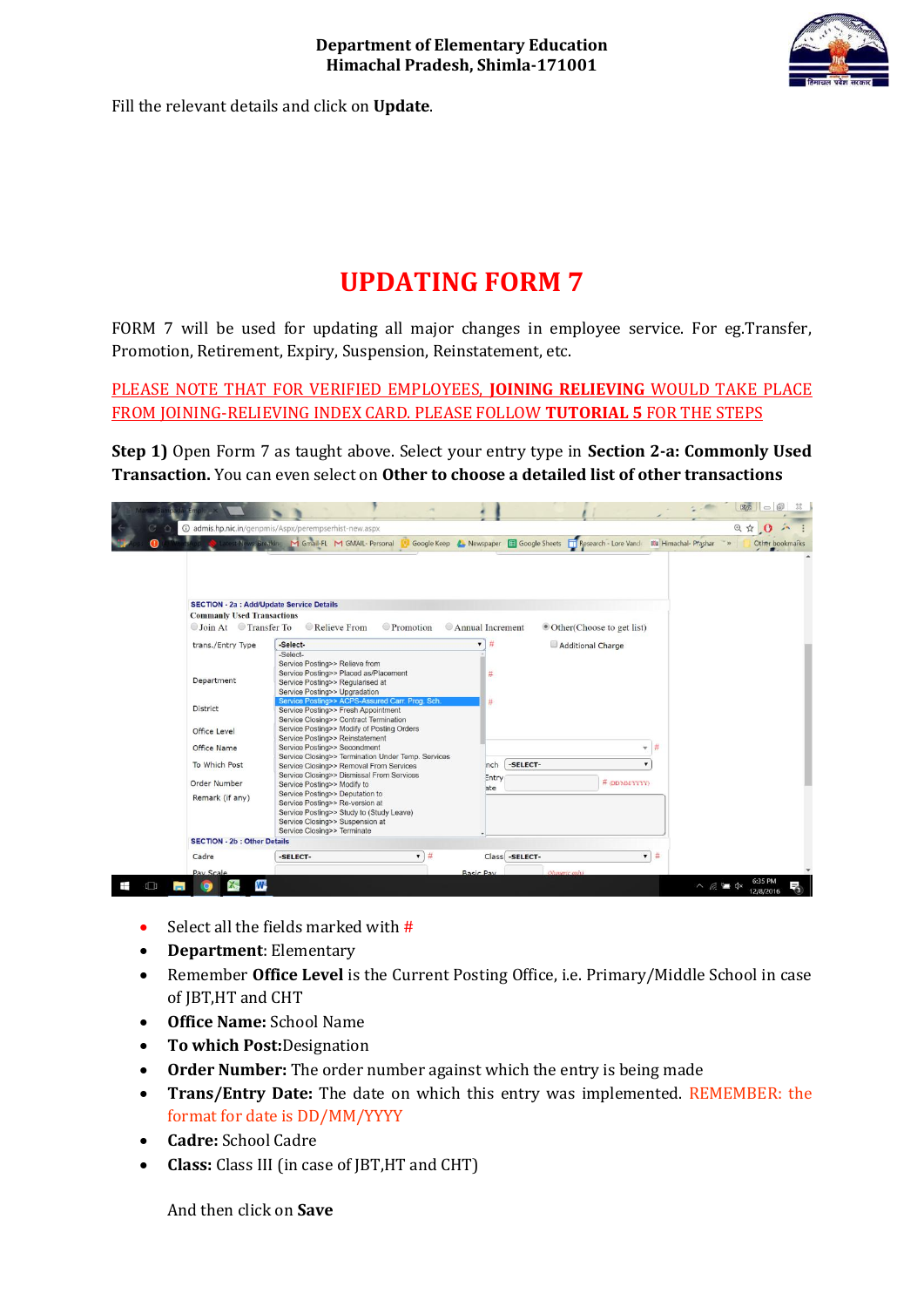

Fill the relevant details and click on **Update**.

## **UPDATING FORM 7**

FORM 7 will be used for updating all major changes in employee service. For eg.Transfer, Promotion, Retirement, Expiry, Suspension, Reinstatement, etc.

PLEASE NOTE THAT FOR VERIFIED EMPLOYEES, **JOINING RELIEVING** WOULD TAKE PLACE FROM JOINING-RELIEVING INDEX CARD. PLEASE FOLLOW **TUTORIAL 5** FOR THE STEPS

**Step 1)** Open Form 7 as taught above. Select your entry type in **Section 2-a: Commonly Used Transaction.** You can even select on **Other to choose a detailed list of other transactions**

|    |                                                                                                              | @ admis.hp.nic.in/qenpmis/Aspx/perempserhist-new.aspx                                                                                                                          |                                                              |                              | ◎☆ ◎ 六                                           |
|----|--------------------------------------------------------------------------------------------------------------|--------------------------------------------------------------------------------------------------------------------------------------------------------------------------------|--------------------------------------------------------------|------------------------------|--------------------------------------------------|
|    |                                                                                                              | test News, Breaking M Gmail-FL M GMAIL- Personal                                                                                                                               | Google Keep & Newspaper E Google Sheets Research - Lore Vand |                              | <b>I'll Himachal- Prashar</b><br>Other bookmarks |
|    | <b>SECTION - 2a : Add/Update Service Details</b><br><b>Commanly Used Transactions</b><br>Join At Transfer To | Relieve From<br>Promotion                                                                                                                                                      | Annual Increment                                             | • Other (Choose to get list) |                                                  |
|    | trans./Entry Type                                                                                            | -Select-                                                                                                                                                                       | #                                                            | Additional Charge            |                                                  |
|    | Department                                                                                                   | -Select-<br>Service Posting>> Relieve from<br>Service Posting>> Placed as/Placement<br>Service Posting>> Regularised at<br>Service Posting>> Upgradation                       | #                                                            |                              |                                                  |
|    | District<br>Office Level                                                                                     | Service Posting>> ACPS-Assured Carr. Prog. Sch.<br>Service Posting>> Fresh Appointment<br>Service Closing>> Contract Termination<br>Service Posting>> Modify of Posting Orders | #                                                            |                              |                                                  |
|    | Office Name                                                                                                  | Service Posting>> Reinstatement<br>Service Posting>> Secondment                                                                                                                |                                                              | $-$ #                        |                                                  |
|    | To Which Post                                                                                                | Service Closing>> Termination Under Temp. Services                                                                                                                             | -SELECT-<br>nch                                              |                              |                                                  |
|    |                                                                                                              | Service Closing>> Removal From Services<br>Service Closing>> Dismissal From Services                                                                                           | Entry                                                        |                              |                                                  |
|    | Order Number                                                                                                 | Service Posting>> Modify to<br>Service Posting>> Deputation to                                                                                                                 | ate                                                          | # (DDMMYYYY)                 |                                                  |
|    | Remark (if any)                                                                                              | Service Posting>> Re-version at<br>Service Posting>> Study to (Study Leave)<br>Service Closing>> Suspension at<br>Service Closing>> Terminate                                  |                                                              |                              |                                                  |
|    | <b>SECTION - 2b : Other Details</b>                                                                          |                                                                                                                                                                                |                                                              |                              |                                                  |
|    | Cadre                                                                                                        | $-14$<br>-SELECT-                                                                                                                                                              | Class -SELECT-                                               | $\bullet$ #                  |                                                  |
|    | Pay Scale                                                                                                    |                                                                                                                                                                                | <b>Basic Pay</b>                                             | (Numeric aniv)               |                                                  |
| tП | W                                                                                                            |                                                                                                                                                                                |                                                              |                              | 6:35 PM<br>$\wedge$ $6 = 4$<br>12/8/2016         |

- Select all the fields marked with  $#$
- **Department**: Elementary
- Remember **Office Level** is the Current Posting Office, i.e. Primary/Middle School in case of JBT,HT and CHT
- **Office Name:** School Name
- **To which Post:**Designation
- **Order Number:** The order number against which the entry is being made
- **Trans/Entry Date:** The date on which this entry was implemented. REMEMBER: the format for date is DD/MM/YYYY
- **Cadre:** School Cadre
- **Class:** Class III (in case of JBT,HT and CHT)

And then click on **Save**